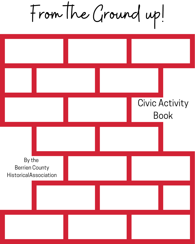From the Ground up!

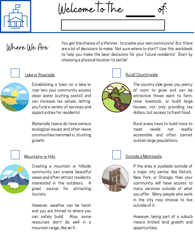

Welcome to the



Where We Are

You get the chance of a lifetime - to create your own community! But there are a lot of decisions to make. Not sure where to start? Use this workbook to help you make the best decisions for your future residents! Start by choosing a physical location to settle!



Establishing a town on a lake or river lets your community access clean water (cutting costs!) and can increase tax values, letting you fund a variety of services and opportunities for residents!

Waterside towns do have serious ecological issues and often leave communities hemmed in, stunting growth.



Creating a mountain or hillside community can create beautiful views and often attract residents interested in the outdoors. A great source for attracting tourists.

However, weather can be harsh and you are limited to where you can safely build. Also, some resources don't do well in a mountain range, like wi-fi.





Lake or Riverside **Rural** Rural/ Countryside

The country side gives you plenty of room to grow and can be attractive those want to farm, raise livestock, or build large houses, not only providing tax dollars, but access to fresh food.

Rural areas have to build more to meet needs not readily accessible and often cannot sustain large populations.



### Mountains or Hills **Notains** of Hills All Cutside a Metropolis

If the area is available outside of a major city center like Detroit, New York, or Chicago, then your community will have access to many services outside of what you offer. Many people who work in the city may choose to live outside of it.

However, being part of a suburb means limited land growth and opportunities.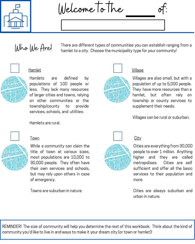

Welcome to the



# Who We Are!

There are different types of communities you can establish ranging from a hamlet to a city. Choose the municipality type for your community!

# Hamlet



Hamlets are defined by populations of 100 people or less. They lack many resources of larger cities and towns, relying on other communities or the township/county to provide services, schools, and utilities.

Hamlets are rural.

# Town



While a community can claim the title of town at various sizes, most populations are 10,000 to 30,000 people. They often have their own services and schools, but may rely upon others in case of emergency.

Towns are suburban in nature.



# Village

Villages are also small, but with a population of up to 5,000 people. They have more resources than a hamlet, but often rely on township or county services to supplement their needs.

Villages can be rural or suburban.



# **City**

Cities are everything from 30,000 people to over 1 million. Anything higher and they are called metropolises. Cities are self sufficient and offer all the basic services to their population and more.

Cities are always suburban and urban in nature.

REMINDER! The size of community will help you determine the rest of this workbook. Think about the kind of community you'd like to live in and ways to make it your dream city (or town or hamlet)!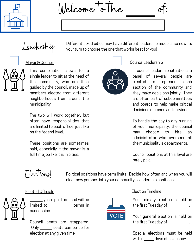

Welcome to the



Different sized cities may have different leadership models, so now its your turn to choose the one that works best for you!



This combination allows for a single leader to sit at the head of the community, who are then guided by the council, made up of members elected from different neighborhoods from around the municipality.

The two will work together, but often have responsibilities that are limited to each office, just like on the federal level.

These positions are sometimes paid, especially if the mayor is a full time job like it is in cities.



### Mayor & Council **Council** Council Leadership

In council leadership situations, a panel of several people are elected to represent each section of the community and they make decisions jointly. They are often part of subcommittees and boards to help make critical decisions on roads and services.

To handle the day to day running of your municipality, the council may choose to hire an administrator who oversees all the municipality's departments.

Council positions at this level are rarely paid.

Elections!

Political positions have term limits. Decide how often and when you will elect new persons into your community's leadership positions.



years per term and will be limited to terms in succession.

Council seats are staggered. Only seats can be up for election at any given time.



### Elected Officials Election Timeline

Your primary election is held on the first Tuesday of .

Your general election is held on the first Tuesday of \_\_\_\_\_\_\_\_\_\_.

Special elections must be held within \_\_\_\_\_\_ days of a vacancy.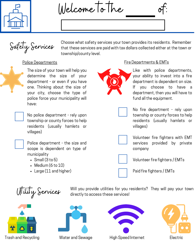

Welcome to the



Choose what safety services your town provides its residents. Remember that these services are paid with tax dollars collected either at the town or township/county level.

The size of your town will help you determine the size of your department - or even if you have one. Thinking about the size of your city, choose the type of police force your municipality will have:

No police department - rely upon township or county forces to help residents (usually hamlets or villages)



Police department - the size and scope is dependent on type of municipality

- $\cdot$  Small (3 to 5)
- $\bullet$  Medium (6 to 10)
- Large (11 and higher)



### Police Departments **Fire Departments & EMTs**

Like with police departments, your ability to invest into a fire department is dependent on size. If you choose to have a department, then you will have to fund all the equipment.



No fire department - rely upon township or county forces to help residents (usually hamlets or villages)



Volunteer fire fighters with EMT services provided by private company



Volunteer fire fighters / EMTs



Utility Services

Will you provide utilities for you residents? They will pay your town directly to access these services!